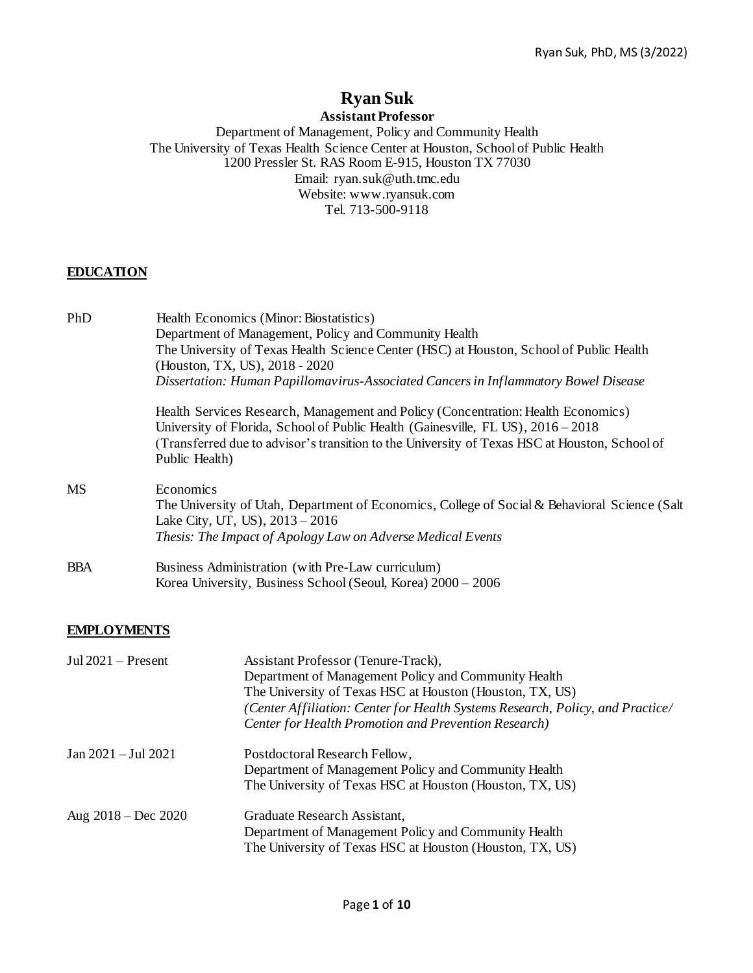# **Ryan Suk Assistant Professor**

## Department of Management, Policy and Community Health The University of Texas Health Science Center at Houston, School of Public Health 1200 Pressler St. RAS Room E-915, Houston TX 77030 Email: ryan.suk@uth.tmc.edu Website: [www.ryansuk.com](http://www.ryansuk.com/) Tel. 713-500-9118

# **EDUCATION**

| PhD        | Health Economics (Minor: Biostatistics)                                                       |
|------------|-----------------------------------------------------------------------------------------------|
|            | Department of Management, Policy and Community Health                                         |
|            | The University of Texas Health Science Center (HSC) at Houston, School of Public Health       |
|            | (Houston, TX, US), 2018 - 2020                                                                |
|            | Dissertation: Human Papillomavirus-Associated Cancers in Inflammatory Bowel Disease           |
|            | Health Services Research, Management and Policy (Concentration: Health Economics)             |
|            | University of Florida, School of Public Health (Gainesville, FL US), 2016 – 2018              |
|            | (Transferred due to advisor's transition to the University of Texas HSC at Houston, School of |
|            | Public Health)                                                                                |
| MS         | Economics                                                                                     |
|            | The University of Utah, Department of Economics, College of Social & Behavioral Science (Salt |
|            | Lake City, UT, US), 2013 - 2016                                                               |
|            | Thesis: The Impact of Apology Law on Adverse Medical Events                                   |
| <b>BBA</b> | Business Administration (with Pre-Law curriculum)                                             |
|            | Korea University, Business School (Seoul, Korea) 2000 – 2006                                  |
|            |                                                                                               |

### **EMPLOYMENTS**

| Jul $2021 -$ Present  | Assistant Professor (Tenure-Track),<br>Department of Management Policy and Community Health<br>The University of Texas HSC at Houston (Houston, TX, US)<br>(Center Affiliation: Center for Health Systems Research, Policy, and Practice/<br>Center for Health Promotion and Prevention Research) |
|-----------------------|---------------------------------------------------------------------------------------------------------------------------------------------------------------------------------------------------------------------------------------------------------------------------------------------------|
| $Jan 2021 - Jul 2021$ | Postdoctoral Research Fellow,<br>Department of Management Policy and Community Health<br>The University of Texas HSC at Houston (Houston, TX, US)                                                                                                                                                 |
| Aug $2018 - Dec 2020$ | Graduate Research Assistant,<br>Department of Management Policy and Community Health<br>The University of Texas HSC at Houston (Houston, TX, US)                                                                                                                                                  |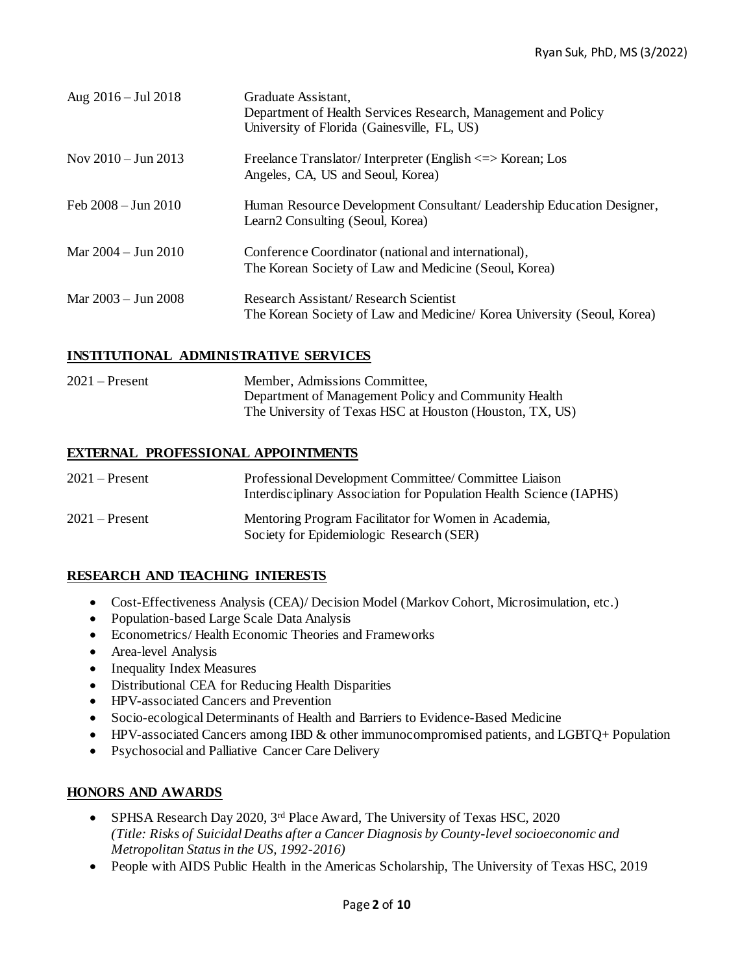| Aug $2016 - \text{Jul } 2018$ | Graduate Assistant,<br>Department of Health Services Research, Management and Policy<br>University of Florida (Gainesville, FL, US) |
|-------------------------------|-------------------------------------------------------------------------------------------------------------------------------------|
| Nov $2010 - \text{Jun } 2013$ | Freelance Translator/Interpreter (English <=> Korean; Los<br>Angeles, CA, US and Seoul, Korea)                                      |
| Feb $2008 - \text{Jun } 2010$ | Human Resource Development Consultant/Leadership Education Designer,<br>Learn2 Consulting (Seoul, Korea)                            |
| Mar $2004 - \text{Jun } 2010$ | Conference Coordinator (national and international),<br>The Korean Society of Law and Medicine (Seoul, Korea)                       |
| Mar $2003 - \text{Jun } 2008$ | Research Assistant/Research Scientist<br>The Korean Society of Law and Medicine/ Korea University (Seoul, Korea)                    |

### **INSTITUTIONAL ADMINISTRATIVE SERVICES**

| $2021 -$ Present | Member, Admissions Committee,                            |
|------------------|----------------------------------------------------------|
|                  | Department of Management Policy and Community Health     |
|                  | The University of Texas HSC at Houston (Houston, TX, US) |

### **EXTERNAL PROFESSIONAL APPOINTMENTS**

| $2021 -$ Present | Professional Development Committee/Committee Liaison<br>Interdisciplinary Association for Population Health Science (IAPHS) |
|------------------|-----------------------------------------------------------------------------------------------------------------------------|
| $2021 -$ Present | Mentoring Program Facilitator for Women in Academia,<br>Society for Epidemiologic Research (SER)                            |

### **RESEARCH AND TEACHING INTERESTS**

- Cost-Effectiveness Analysis (CEA)/ Decision Model (Markov Cohort, Microsimulation, etc.)
- Population-based Large Scale Data Analysis
- Econometrics/ Health Economic Theories and Frameworks
- Area-level Analysis
- Inequality Index Measures
- Distributional CEA for Reducing Health Disparities
- HPV-associated Cancers and Prevention
- Socio-ecological Determinants of Health and Barriers to Evidence-Based Medicine
- HPV-associated Cancers among IBD & other immunocompromised patients, and LGBTQ+ Population
- Psychosocial and Palliative Cancer Care Delivery

#### **HONORS AND AWARDS**

- SPHSA Research Day 2020, 3<sup>rd</sup> Place Award, The University of Texas HSC, 2020 *(Title: Risks of Suicidal Deaths after a Cancer Diagnosis by County-level socioeconomic and Metropolitan Status in the US, 1992-2016)*
- People with AIDS Public Health in the Americas Scholarship, The University of Texas HSC, 2019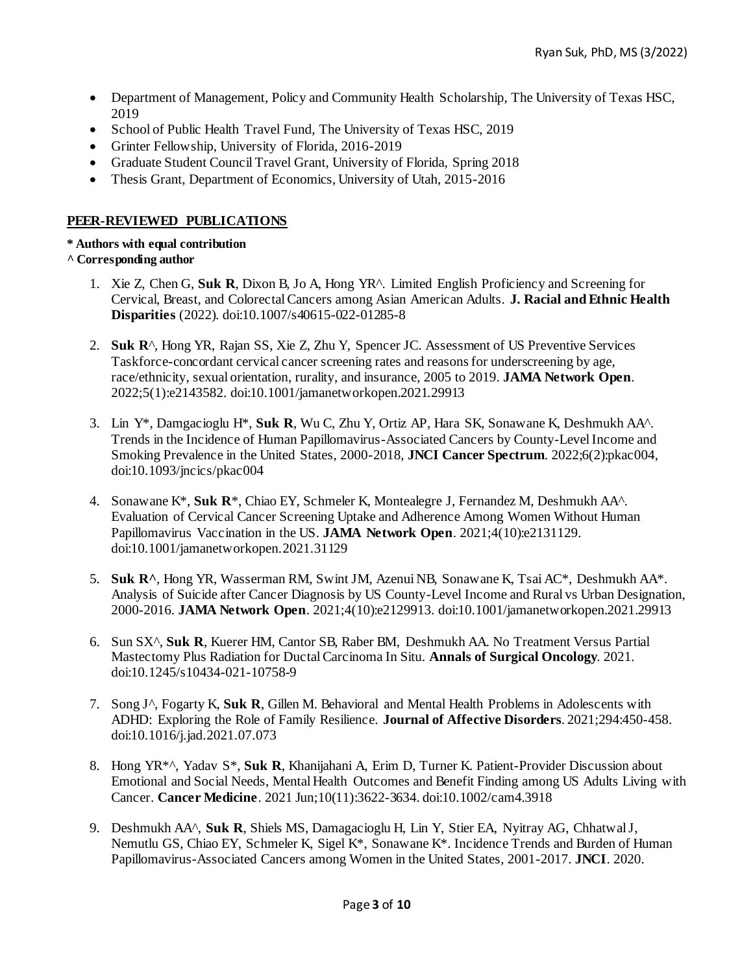- Department of Management, Policy and Community Health Scholarship, The University of Texas HSC, 2019
- School of Public Health Travel Fund, The University of Texas HSC, 2019
- Grinter Fellowship, University of Florida, 2016-2019
- Graduate Student Council Travel Grant, University of Florida, Spring 2018
- Thesis Grant, Department of Economics, University of Utah, 2015-2016

### **PEER-REVIEWED PUBLICATIONS**

#### **\* Authors with equal contribution**

#### **^ Corresponding author**

- 1. Xie Z, Chen G, **Suk R**, Dixon B, Jo A, Hong YR^. Limited English Proficiency and Screening for Cervical, Breast, and Colorectal Cancers among Asian American Adults. **J. Racial and Ethnic Health Disparities** (2022). doi:10.1007/s40615-022-01285-8
- 2. **Suk R**^, Hong YR, Rajan SS, Xie Z, Zhu Y, Spencer JC. Assessment of US Preventive Services Taskforce-concordant cervical cancer screening rates and reasons for underscreening by age, race/ethnicity, sexual orientation, rurality, and insurance, 2005 to 2019. **JAMA Network Open**. 2022;5(1):e2143582. doi:10.1001/jamanetworkopen.2021.29913
- 3. Lin Y\*, Damgacioglu H\*, **Suk R**, Wu C, Zhu Y, Ortiz AP, Hara SK, Sonawane K, Deshmukh AA^. Trends in the Incidence of Human Papillomavirus-Associated Cancers by County-Level Income and Smoking Prevalence in the United States, 2000-2018, **JNCI Cancer Spectrum**. 2022;6(2):pkac004, doi:10.1093/jncics/pkac004
- 4. Sonawane K\*, **Suk R**\*, Chiao EY, Schmeler K, Montealegre J, Fernandez M, Deshmukh AA^. Evaluation of Cervical Cancer Screening Uptake and Adherence Among Women Without Human Papillomavirus Vaccination in the US. **JAMA Network Open**. 2021;4(10):e2131129. doi:10.1001/jamanetworkopen.2021.31129
- 5. **Suk R^**, Hong YR, Wasserman RM, Swint JM, Azenui NB, Sonawane K, Tsai AC\*, Deshmukh AA\*. Analysis of Suicide after Cancer Diagnosis by US County-Level Income and Rural vs Urban Designation, 2000-2016. **JAMA Network Open**. 2021;4(10):e2129913. doi:10.1001/jamanetworkopen.2021.29913
- 6. Sun SX^, **Suk R**, Kuerer HM, Cantor SB, Raber BM, Deshmukh AA. No Treatment Versus Partial Mastectomy Plus Radiation for Ductal Carcinoma In Situ. **Annals of Surgical Oncology**. 2021. doi:10.1245/s10434-021-10758-9
- 7. Song J^, Fogarty K, **Suk R**, Gillen M. Behavioral and Mental Health Problems in Adolescents with ADHD: Exploring the Role of Family Resilience. **Journal of Affective Disorders**. 2021;294:450-458. doi:10.1016/j.jad.2021.07.073
- 8. Hong YR\*^, Yadav S\*, **Suk R**, Khanijahani A, Erim D, Turner K. Patient-Provider Discussion about Emotional and Social Needs, Mental Health Outcomes and Benefit Finding among US Adults Living with Cancer. **Cancer Medicine**. 2021 Jun;10(11):3622-3634. doi:10.1002/cam4.3918
- 9. Deshmukh AA^, **Suk R**, Shiels MS, Damagacioglu H, Lin Y, Stier EA, Nyitray AG, Chhatwal J, Nemutlu GS, Chiao EY, Schmeler K, Sigel K\*, Sonawane K\*. Incidence Trends and Burden of Human Papillomavirus-Associated Cancers among Women in the United States, 2001-2017. **JNCI**. 2020.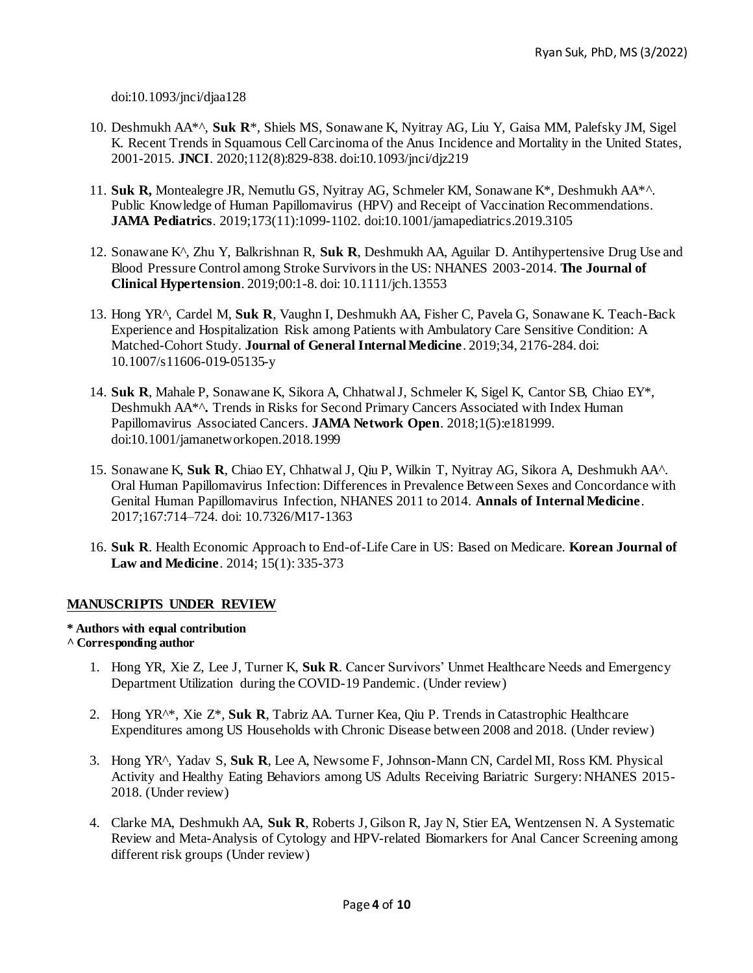doi:10.1093/jnci/djaa128

- 10. Deshmukh AA\*^, **Suk R**\*, Shiels MS, Sonawane K, Nyitray AG, Liu Y, Gaisa MM, Palefsky JM, Sigel K. Recent Trends in Squamous Cell Carcinoma of the Anus Incidence and Mortality in the United States, 2001-2015. **JNCI**. 2020;112(8):829-838. doi:10.1093/jnci/djz219
- 11. **Suk R,** Montealegre JR, Nemutlu GS, Nyitray AG, Schmeler KM, Sonawane K\*, Deshmukh AA\*^. Public Knowledge of Human Papillomavirus (HPV) and Receipt of Vaccination Recommendations. **JAMA Pediatrics**. 2019;173(11):1099-1102. doi:10.1001/jamapediatrics.2019.3105
- 12. Sonawane K^, Zhu Y, Balkrishnan R, **Suk R**, Deshmukh AA, Aguilar D. Antihypertensive Drug Use and Blood Pressure Control among Stroke Survivors in the US: NHANES 2003-2014. **The Journal of Clinical Hypertension**. 2019;00:1-8. doi: 10.1111/jch.13553
- 13. Hong YR^, Cardel M, **Suk R**, Vaughn I, Deshmukh AA, Fisher C, Pavela G, Sonawane K. Teach-Back Experience and Hospitalization Risk among Patients with Ambulatory Care Sensitive Condition: A Matched-Cohort Study. **Journal of General Internal Medicine**. 2019;34, 2176-284. doi: 10.1007/s11606-019-05135-y
- 14. **Suk R**, Mahale P, Sonawane K, Sikora A, Chhatwal J, Schmeler K, Sigel K, Cantor SB, Chiao EY\*, Deshmukh AA\*^**.** Trends in Risks for Second Primary Cancers Associated with Index Human Papillomavirus Associated Cancers. **JAMA Network Open**. 2018;1(5):e181999. doi:10.1001/jamanetworkopen.2018.1999
- 15. Sonawane K, **Suk R**, Chiao EY, Chhatwal J, Qiu P, Wilkin T, Nyitray AG, Sikora A, Deshmukh AA^. Oral Human Papillomavirus Infection: Differences in Prevalence Between Sexes and Concordance with Genital Human Papillomavirus Infection, NHANES 2011 to 2014. **Annals of Internal Medicine**. 2017;167:714–724. doi: 10.7326/M17-1363
- 16. **Suk R**. Health Economic Approach to End-of-Life Care in US: Based on Medicare. **Korean Journal of Law and Medicine**. 2014; 15(1): 335-373

### **MANUSCRIPTS UNDER REVIEW**

### **\* Authors with equal contribution**

#### **^ Corresponding author**

- 1. Hong YR, Xie Z, Lee J, Turner K, **Suk R**. Cancer Survivors' Unmet Healthcare Needs and Emergency Department Utilization during the COVID-19 Pandemic. (Under review)
- 2. Hong YR^\*, Xie Z\*, **Suk R**, Tabriz AA. Turner Kea, Qiu P. Trends in Catastrophic Healthcare Expenditures among US Households with Chronic Disease between 2008 and 2018. (Under review)
- 3. Hong YR^, Yadav S, **Suk R**, Lee A, Newsome F, Johnson-Mann CN, Cardel MI, Ross KM. Physical Activity and Healthy Eating Behaviors among US Adults Receiving Bariatric Surgery: NHANES 2015- 2018. (Under review)
- 4. Clarke MA, Deshmukh AA, **Suk R**, Roberts J, Gilson R, Jay N, Stier EA, Wentzensen N. A Systematic Review and Meta-Analysis of Cytology and HPV-related Biomarkers for Anal Cancer Screening among different risk groups (Under review)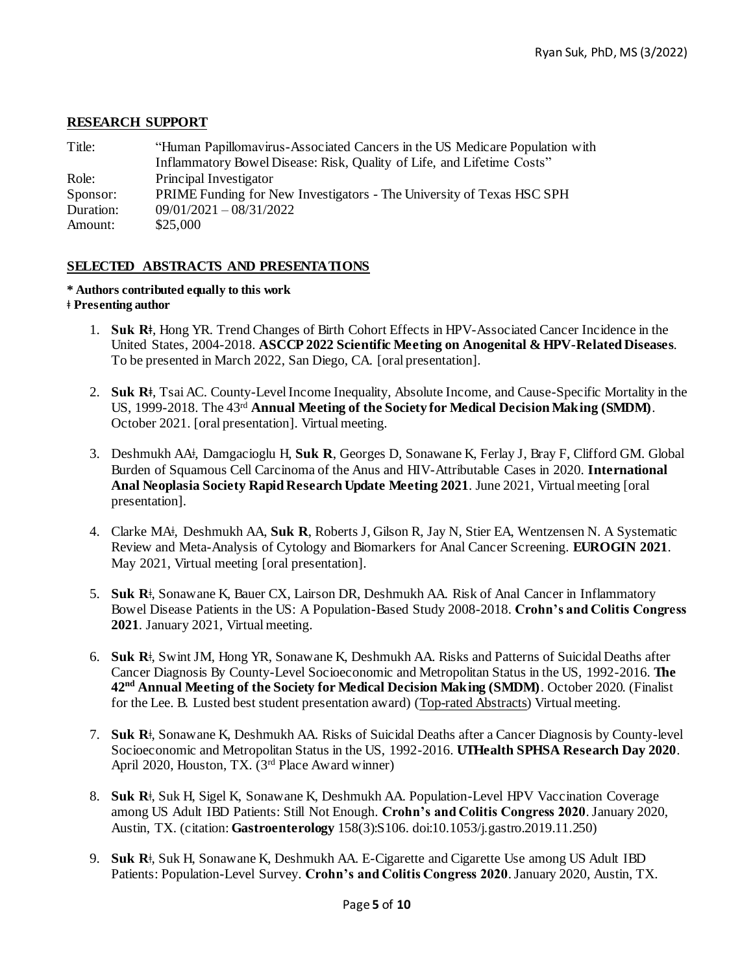## **RESEARCH SUPPORT**

| Title:    | "Human Papillomavirus-Associated Cancers in the US Medicare Population with  |
|-----------|------------------------------------------------------------------------------|
|           | Inflammatory Bowel Disease: Risk, Quality of Life, and Lifetime Costs"       |
| Role:     | Principal Investigator                                                       |
| Sponsor:  | <b>PRIME Funding for New Investigators - The University of Texas HSC SPH</b> |
| Duration: | $09/01/2021 - 08/31/2022$                                                    |
| Amount:   | \$25,000                                                                     |

# **SELECTED ABSTRACTS AND PRESENTATIONS**

#### **\* Authors contributed equally to this work ǂ Presenting author**

- 1. **Suk Rǂ**, Hong YR. Trend Changes of Birth Cohort Effects in HPV-Associated Cancer Incidence in the United States, 2004-2018. **ASCCP 2022 Scientific Meeting on Anogenital & HPV-Related Diseases**. To be presented in March 2022, San Diego, CA. [oral presentation].
- 2. **Suk Rǂ**, Tsai AC. County-Level Income Inequality, Absolute Income, and Cause-Specific Mortality in the US, 1999-2018. The 43rd **Annual Meeting of the Society for Medical Decision Making (SMDM)**. October 2021. [oral presentation]. Virtual meeting.
- 3. Deshmukh AAǂ, Damgacioglu H, **Suk R**, Georges D, Sonawane K, Ferlay J, Bray F, Clifford GM. Global Burden of Squamous Cell Carcinoma of the Anus and HIV-Attributable Cases in 2020. **International Anal Neoplasia Society Rapid Research Update Meeting 2021**. June 2021, Virtual meeting [oral presentation].
- 4. Clarke MAǂ, Deshmukh AA, **Suk R**, Roberts J, Gilson R, Jay N, Stier EA, Wentzensen N. A Systematic Review and Meta-Analysis of Cytology and Biomarkers for Anal Cancer Screening. **EUROGIN 2021**. May 2021, Virtual meeting [oral presentation].
- 5. **Suk R**ǂ, Sonawane K, Bauer CX, Lairson DR, Deshmukh AA. Risk of Anal Cancer in Inflammatory Bowel Disease Patients in the US: A Population-Based Study 2008-2018. **Crohn's and Colitis Congress 2021**. January 2021, Virtual meeting.
- 6. **Suk R**ǂ, Swint JM, Hong YR, Sonawane K, Deshmukh AA. Risks and Patterns of Suicidal Deaths after Cancer Diagnosis By County-Level Socioeconomic and Metropolitan Status in the US, 1992-2016. **The 42nd Annual Meeting of the Society for Medical Decision Making (SMDM)**. October 2020. (Finalist for the Lee. B. Lusted best student presentation award) (Top-rated Abstracts) Virtual meeting.
- 7. **Suk R**ǂ, Sonawane K, Deshmukh AA. Risks of Suicidal Deaths after a Cancer Diagnosis by County-level Socioeconomic and Metropolitan Status in the US, 1992-2016. **UTHealth SPHSA Research Day 2020**. April 2020, Houston, TX. (3rd Place Award winner)
- 8. **Suk R**<sup>‡</sup>, Suk H, Sigel K, Sonawane K, Deshmukh AA. Population-Level HPV Vaccination Coverage among US Adult IBD Patients: Still Not Enough. **Crohn's and Colitis Congress 2020**. January 2020, Austin, TX. (citation: **Gastroenterology** 158(3):S106. doi:10.1053/j.gastro.2019.11.250)
- 9. **Suk R**<sup>‡</sup>, Suk H, Sonawane K, Deshmukh AA. E-Cigarette and Cigarette Use among US Adult IBD Patients: Population-Level Survey. **Crohn's and Colitis Congress 2020**. January 2020, Austin, TX.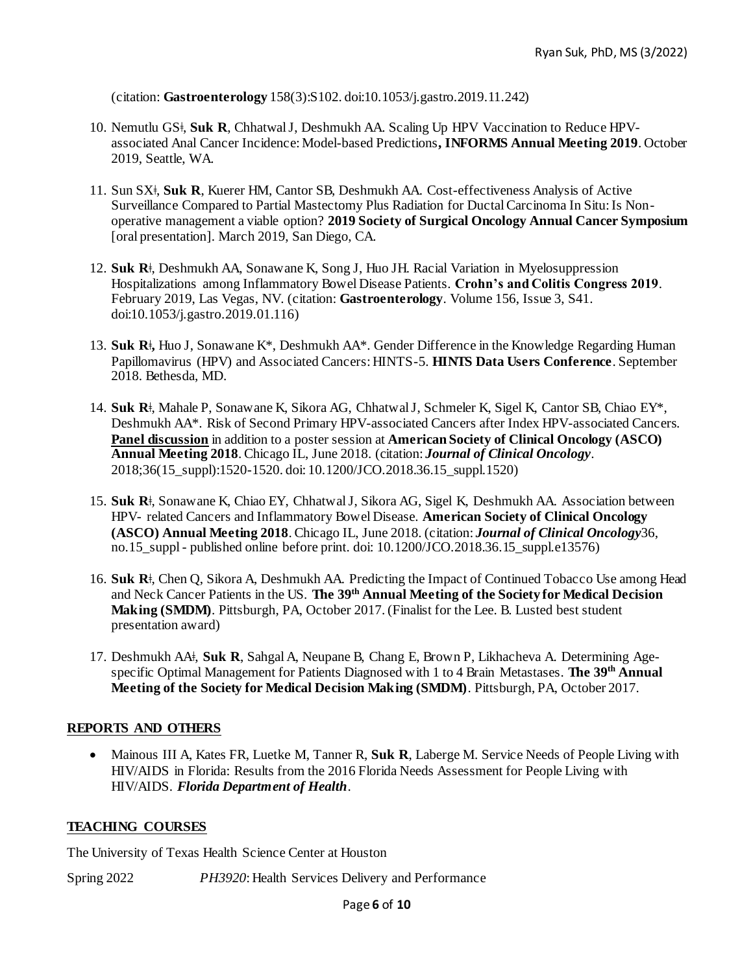(citation: **Gastroenterology** 158(3):S102. doi:10.1053/j.gastro.2019.11.242)

- 10. Nemutlu GSǂ, **Suk R**, Chhatwal J, Deshmukh AA. Scaling Up HPV Vaccination to Reduce HPVassociated Anal Cancer Incidence: Model-based Predictions**, INFORMS Annual Meeting 2019**. October 2019, Seattle, WA.
- 11. Sun SXǂ, **Suk R**, Kuerer HM, Cantor SB, Deshmukh AA. Cost-effectiveness Analysis of Active Surveillance Compared to Partial Mastectomy Plus Radiation for Ductal Carcinoma In Situ: Is Nonoperative management a viable option? **2019 Society of Surgical Oncology Annual Cancer Symposium** [oral presentation]. March 2019, San Diego, CA.
- 12. **Suk R**ǂ, Deshmukh AA, Sonawane K, Song J, Huo JH. Racial Variation in Myelosuppression Hospitalizations among Inflammatory Bowel Disease Patients. **Crohn's and Colitis Congress 2019**. February 2019, Las Vegas, NV. (citation: **Gastroenterology**. Volume 156, Issue 3, S41. doi:10.1053/j.gastro.2019.01.116)
- 13. **Suk R**ǂ**,** Huo J, Sonawane K\*, Deshmukh AA\*. Gender Difference in the Knowledge Regarding Human Papillomavirus (HPV) and Associated Cancers: HINTS-5. **HINTS Data Users Conference**. September 2018. Bethesda, MD.
- 14. **Suk R**ǂ, Mahale P, Sonawane K, Sikora AG, Chhatwal J, Schmeler K, Sigel K, Cantor SB, Chiao EY\*, Deshmukh AA\*. Risk of Second Primary HPV-associated Cancers after Index HPV-associated Cancers. **Panel discussion** in addition to a poster session at **American Society of Clinical Oncology (ASCO) Annual Meeting 2018**. Chicago IL, June 2018. (citation: *Journal of Clinical Oncology*. 2018;36(15\_suppl):1520-1520. doi: 10.1200/JCO.2018.36.15\_suppl.1520)
- 15. **Suk R**ǂ, Sonawane K, Chiao EY, Chhatwal J, Sikora AG, Sigel K, Deshmukh AA. Association between HPV- related Cancers and Inflammatory Bowel Disease. **American Society of Clinical Oncology (ASCO) Annual Meeting 2018**. Chicago IL, June 2018. (citation: *Journal of Clinical Oncology*36, no.15\_suppl - published online before print. doi: 10.1200/JCO.2018.36.15\_suppl.e13576)
- 16. **Suk R**ǂ, Chen Q, Sikora A, Deshmukh AA. Predicting the Impact of Continued Tobacco Use among Head and Neck Cancer Patients in the US. **The 39th Annual Meeting of the Society for Medical Decision Making (SMDM)**. Pittsburgh, PA, October 2017. (Finalist for the Lee. B. Lusted best student presentation award)
- 17. Deshmukh AAǂ, **Suk R**, Sahgal A, Neupane B, Chang E, Brown P, Likhacheva A. Determining Agespecific Optimal Management for Patients Diagnosed with 1 to 4 Brain Metastases. **The 39th Annual Meeting of the Society for Medical Decision Making (SMDM)**. Pittsburgh, PA, October 2017.

#### **REPORTS AND OTHERS**

• Mainous III A, Kates FR, Luetke M, Tanner R, **Suk R**, Laberge M. Service Needs of People Living with HIV/AIDS in Florida: Results from the 2016 Florida Needs Assessment for People Living with HIV/AIDS. *Florida Department of Health*.

#### **TEACHING COURSES**

The University of Texas Health Science Center at Houston

Spring 2022 *PH3920*: Health Services Delivery and Performance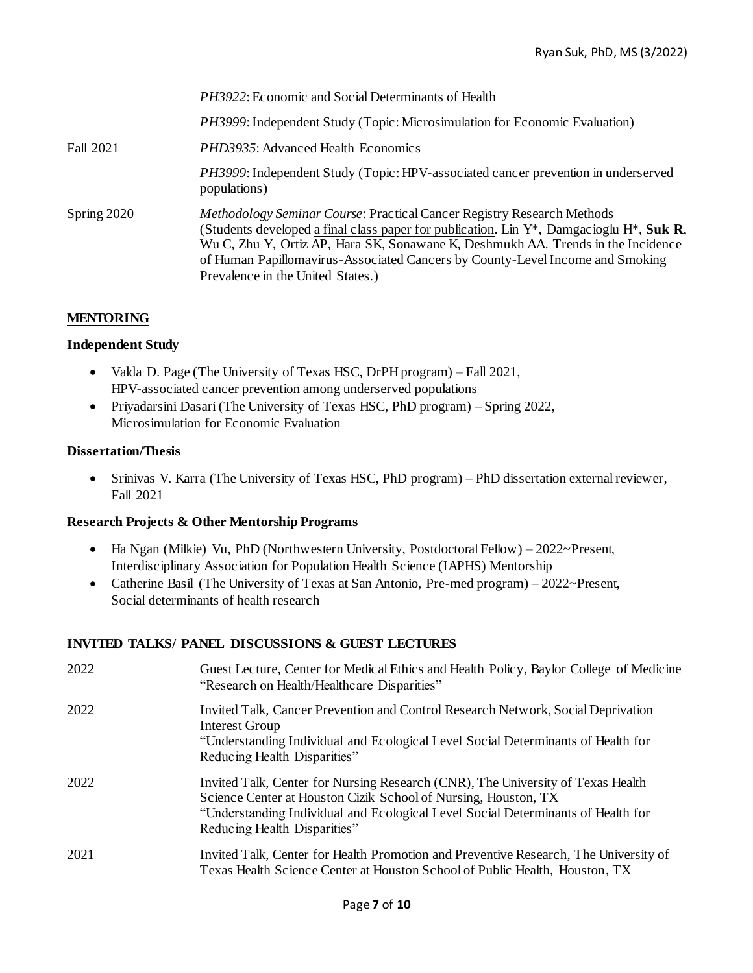|             | <i>PH3922</i> : Economic and Social Determinants of Health                                                                                                                                                                                                                                                                                                                          |
|-------------|-------------------------------------------------------------------------------------------------------------------------------------------------------------------------------------------------------------------------------------------------------------------------------------------------------------------------------------------------------------------------------------|
|             | <i>PH3999</i> : Independent Study (Topic: Microsimulation for Economic Evaluation)                                                                                                                                                                                                                                                                                                  |
| Fall 2021   | <i>PHD3935:</i> Advanced Health Economics                                                                                                                                                                                                                                                                                                                                           |
|             | PH3999: Independent Study (Topic: HPV-associated cancer prevention in underserved<br>populations)                                                                                                                                                                                                                                                                                   |
| Spring 2020 | Methodology Seminar Course: Practical Cancer Registry Research Methods<br>(Students developed a final class paper for publication. Lin $Y^*$ , Damgacioglu $H^*$ , Suk R,<br>Wu C, Zhu Y, Ortiz AP, Hara SK, Sonawane K, Deshmukh AA. Trends in the Incidence<br>of Human Papillomavirus-Associated Cancers by County-Level Income and Smoking<br>Prevalence in the United States.) |

### **MENTORING**

#### **Independent Study**

- Valda D. Page (The University of Texas HSC, DrPH program) Fall 2021, HPV-associated cancer prevention among underserved populations
- Priyadarsini Dasari (The University of Texas HSC, PhD program) Spring 2022, Microsimulation for Economic Evaluation

#### **Dissertation/Thesis**

• Srinivas V. Karra (The University of Texas HSC, PhD program) – PhD dissertation external reviewer, Fall 2021

#### **Research Projects & Other Mentorship Programs**

- Ha Ngan (Milkie) Vu, PhD (Northwestern University, Postdoctoral Fellow) 2022~Present, Interdisciplinary Association for Population Health Science (IAPHS) Mentorship
- Catherine Basil (The University of Texas at San Antonio, Pre-med program) 2022~Present, Social determinants of health research

### **INVITED TALKS/ PANEL DISCUSSIONS & GUEST LECTURES**

| 2022 | Guest Lecture, Center for Medical Ethics and Health Policy, Baylor College of Medicine<br>"Research on Health/Healthcare Disparities"                                                                                                                                 |
|------|-----------------------------------------------------------------------------------------------------------------------------------------------------------------------------------------------------------------------------------------------------------------------|
| 2022 | Invited Talk, Cancer Prevention and Control Research Network, Social Deprivation<br><b>Interest Group</b><br>"Understanding Individual and Ecological Level Social Determinants of Health for<br>Reducing Health Disparities"                                         |
| 2022 | Invited Talk, Center for Nursing Research (CNR), The University of Texas Health<br>Science Center at Houston Cizik School of Nursing, Houston, TX<br>"Understanding Individual and Ecological Level Social Determinants of Health for<br>Reducing Health Disparities" |
| 2021 | Invited Talk, Center for Health Promotion and Preventive Research, The University of<br>Texas Health Science Center at Houston School of Public Health, Houston, TX                                                                                                   |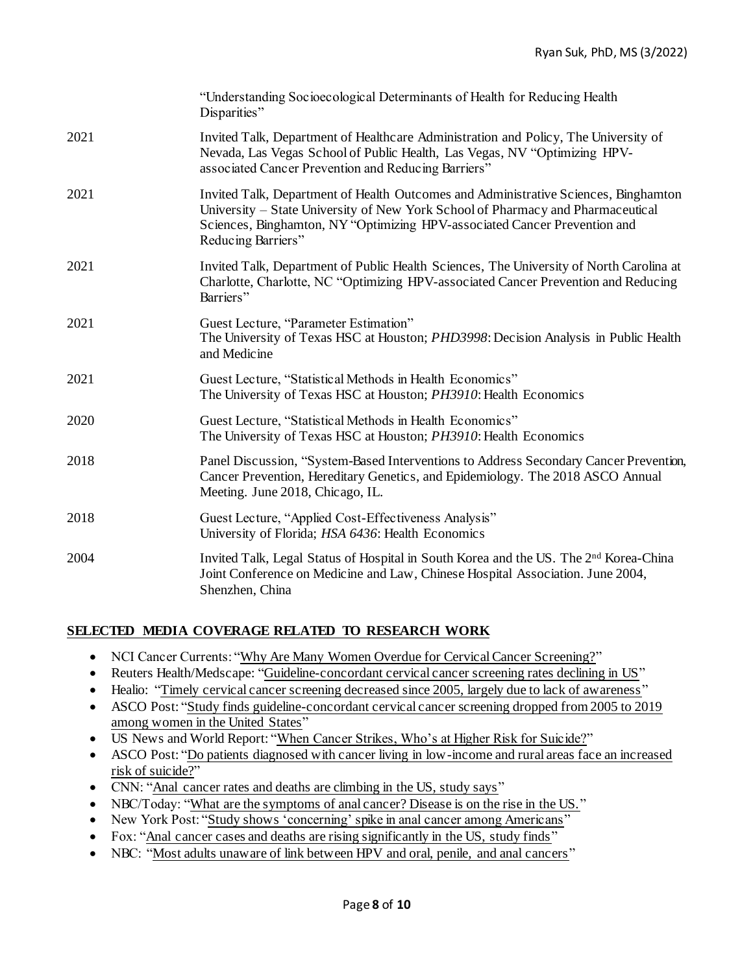| "Understanding Socioecological Determinants of Health for Reducing Health<br>Disparities"                                                                                                                                                                                 |
|---------------------------------------------------------------------------------------------------------------------------------------------------------------------------------------------------------------------------------------------------------------------------|
| Invited Talk, Department of Healthcare Administration and Policy, The University of<br>Nevada, Las Vegas School of Public Health, Las Vegas, NV "Optimizing HPV-<br>associated Cancer Prevention and Reducing Barriers"                                                   |
| Invited Talk, Department of Health Outcomes and Administrative Sciences, Binghamton<br>University - State University of New York School of Pharmacy and Pharmaceutical<br>Sciences, Binghamton, NY "Optimizing HPV-associated Cancer Prevention and<br>Reducing Barriers" |
| Invited Talk, Department of Public Health Sciences, The University of North Carolina at<br>Charlotte, Charlotte, NC "Optimizing HPV-associated Cancer Prevention and Reducing<br>Barriers"                                                                                |
| Guest Lecture, "Parameter Estimation"<br>The University of Texas HSC at Houston; <i>PHD3998</i> : Decision Analysis in Public Health<br>and Medicine                                                                                                                      |
| Guest Lecture, "Statistical Methods in Health Economics"<br>The University of Texas HSC at Houston; PH3910: Health Economics                                                                                                                                              |
| Guest Lecture, "Statistical Methods in Health Economics"<br>The University of Texas HSC at Houston; PH3910: Health Economics                                                                                                                                              |
| Panel Discussion, "System-Based Interventions to Address Secondary Cancer Prevention,<br>Cancer Prevention, Hereditary Genetics, and Epidemiology. The 2018 ASCO Annual<br>Meeting. June 2018, Chicago, IL.                                                               |
| Guest Lecture, "Applied Cost-Effectiveness Analysis"<br>University of Florida; HSA 6436: Health Economics                                                                                                                                                                 |
| Invited Talk, Legal Status of Hospital in South Korea and the US. The 2 <sup>nd</sup> Korea-China<br>Joint Conference on Medicine and Law, Chinese Hospital Association. June 2004,<br>Shenzhen, China                                                                    |
|                                                                                                                                                                                                                                                                           |

### **SELECTED MEDIA COVERAGE RELATED TO RESEARCH WORK**

- NCI Cancer Currents: ["Why Are Many Women Overdue for Cervical Cancer Screening?"](https://www.cancer.gov/news-events/cancer-currents-blog/2022/overdue-cervical-cancer-screening-increasing)
- Reuters Health/Medscape: ["Guideline-concordant cervical cancer screening rates declining in US"](https://www.medscape.com/viewarticle/967734)
- Healio: ["Timely cervical cancer screening decreased since 2005, largely due to lack of awareness](https://www.healio.com/news/primary-care/20220124/timely-cervical-cancer-screenings-decreased-since-2005-largely-due-to-lack-of-awareness)"
- ASCO Post: "Study finds guideline-concordant cervical cancer screening dropped from 2005 to 2019 [among women in the United States"](https://ascopost.com/news/january-2022/study-finds-guideline-concordant-cervical-cancer-screening-dropped-from-2005-to-2019-among-women-in-the-united-states/)
- US News and World Report: ["When Cancer Strikes, Who's at Higher Risk for Suicide?"](https://www.usnews.com/news/health-news/articles/2021-10-21/when-cancer-strikes-whos-at-higher-risk-for-suicide)
- ASCO Post: ["Do patients diagnosed with cancer living in low-income and rural areas face an increased](https://ascopost.com/news/october-2021/do-patients-diagnosed-with-cancer-living-in-low-income-and-rural-areas-face-an-increased-risk-of-suicide/)  [risk of suicide?"](https://ascopost.com/news/october-2021/do-patients-diagnosed-with-cancer-living-in-low-income-and-rural-areas-face-an-increased-risk-of-suicide/)
- CNN: ["Anal cancer rates and deaths are climbing in the US, study says](https://www.cnn.com/2019/11/19/health/anal-cancer-incidence-death-increase-study/index.html)"
- NBC/Today: ["What are the symptoms of anal cancer? Disease is on the rise in the US."](https://www.today.com/health/what-are-symptoms-anal-cancer-disease-rise-u-s-t167679)
- New York Post: ["Study shows 'concerning' spike in anal cancer among Americans](https://nypost.com/2019/11/20/study-shows-concerning-spike-in-anal-cancer-among-americans/)"
- Fox: ["Anal cancer cases and deaths are rising significantly in the US, study finds](https://www.fox5ny.com/news/anal-cancer-cases-and-deaths-are-rising-significantly-in-the-us-study-finds)"
- NBC: ["Most adults unaware of link between HPV and oral, penile, and anal cancers](https://www.nbcnews.com/health/sexual-health/most-adults-unaware-link-between-hpv-oral-penile-anal-cancers-n1054796)"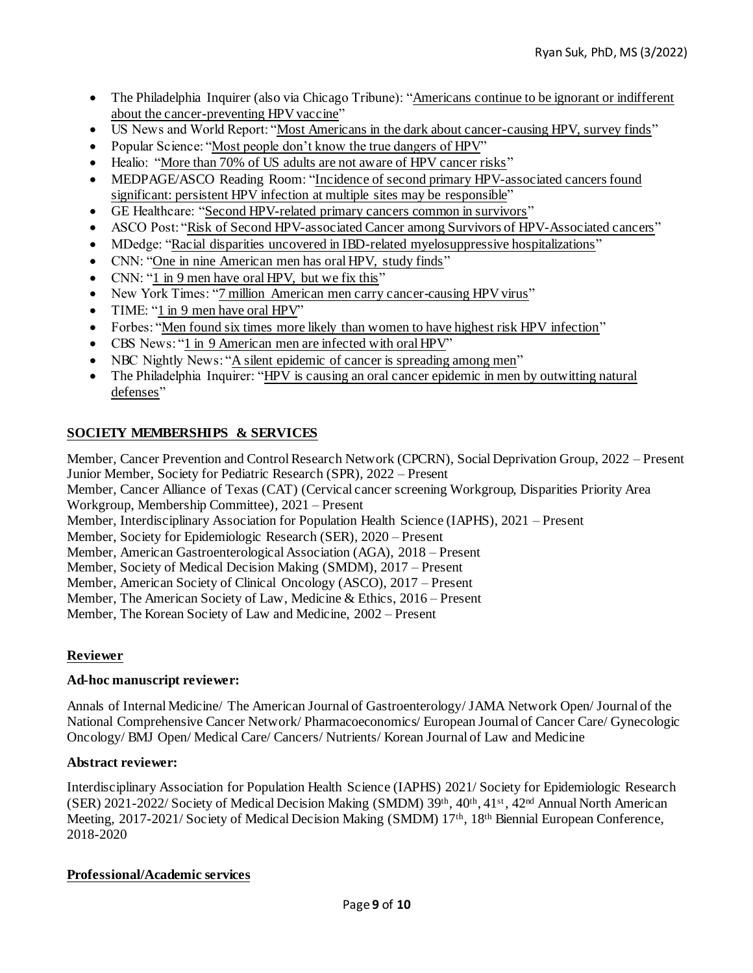- The Philadelphia Inquirer (also via Chicago Tribune): "Americans continue to be ignorant or indifferent [about the cancer-preventing HPV vaccine"](https://www.inquirer.com/health/hpv-vaccine-gardasil-cancer-prevention-20190918.html)
- US News and World Report: ["Most Americans in the dark about cancer-causing HPV, survey finds](https://www.usnews.com/news/health-news/articles/2019-09-16/most-americans-in-the-dark-about-cancer-causing-hpv-survey-finds)"
- Popular Science: ["Most people don't know the true dangers of HPV"](https://www.popsci.com/hpv-vaccine-cancer-awareness/)
- Healio: ["More than 70% of US adults are not aware of HPV cancer risks](https://www.healio.com/news/pediatrics/20190927/more-than-70-of-us-adults-are-not-aware-of-hpv-cancer-risks)"
- MEDPAGE/ASCO Reading Room: "Incidence of second primary HPV-associated cancers found [significant: persistent HPV infection at multiple sites may be responsible"](https://www.medpagetoday.com/reading-room/asco/gynecological-cancers/75418?vpass=1)
- GE Healthcare: ["Second HPV-related primary cancers common in survivors](https://www.gehealthcare.com/article/second-hpv-related-primary-cancers-common-in-survivors)"
- ASCO Post: ["Risk of Second HPV-associated Cancer among Survivors of HPV-Associated cancers](https://ascopost.com/News/59274)"
- MDedge: ["Racial disparities uncovered in IBD-related myelosuppressive hospitalizations"](https://www.mdedge.com/internalmedicine/article/194617/gastroenterology/racial-disparities-uncovered-ibd-related)
- CNN: ["One in nine American men has oral HPV, study finds](https://www.cnn.com/2017/10/16/health/oral-hpv-infections-men-study/index.html)"
- CNN: ["1 in 9 men have oral HPV, but we fix this"](https://www.cnn.com/2017/10/19/opinions/how-to-prevent-hpv-bassett-opinion/index.html)
- New York Times: ["7 million American men carry cancer-causing HPV virus"](https://www.nytimes.com/2017/10/16/well/live/7-million-american-men-carry-cancer-causing-hpv-virus.html)
- TIME: " $1$  in 9 men have oral HPV"
- Forbes: ["Men found six times more likely than women to have highest risk HPV infection"](https://www.forbes.com/sites/tarahaelle/2017/10/17/men-six-times-more-likely-than-women-to-have-highest-risk-hpv-infection/#23c1b3d82de0)
- CBS News: ["1 in 9 American men are infected with oral HPV"](https://www.cbsnews.com/news/1-in-9-american-men-are-infected-with-oral-hpv/)
- NBC Nightly News: ["A silent epidemic of cancer is spreading among men"](https://www.nbcnews.com/health/health-news/silent-epidemic-cancer-spreading-among-men-n811466)
- The Philadelphia Inquirer: "HPV is causing an oral cancer epidemic in men by outwitting natural [defenses"](https://www.inquirer.com/philly/health/hpv-is-causing-an-oral-cancer-epidemic-in-men-by-outwitting-natural-defenses-20180309.html)

# **SOCIETY MEMBERSHIPS & SERVICES**

Member, Cancer Prevention and Control Research Network (CPCRN), Social Deprivation Group, 2022 – Present Junior Member, Society for Pediatric Research (SPR), 2022 – Present

Member, Cancer Alliance of Texas (CAT) (Cervical cancer screening Workgroup, Disparities Priority Area Workgroup, Membership Committee), 2021 – Present

Member, Interdisciplinary Association for Population Health Science (IAPHS), 2021 – Present

Member, Society for Epidemiologic Research (SER), 2020 – Present

Member, American Gastroenterological Association (AGA), 2018 – Present

Member, Society of Medical Decision Making (SMDM), 2017 – Present

Member, American Society of Clinical Oncology (ASCO), 2017 – Present

Member, The American Society of Law, Medicine & Ethics, 2016 – Present

Member, The Korean Society of Law and Medicine, 2002 – Present

### **Reviewer**

### **Ad-hoc manuscript reviewer:**

Annals of Internal Medicine/ The American Journal of Gastroenterology/ JAMA Network Open/ Journal of the National Comprehensive Cancer Network/ Pharmacoeconomics/ European Journal of Cancer Care/ Gynecologic Oncology/ BMJ Open/ Medical Care/ Cancers/ Nutrients/ Korean Journal of Law and Medicine

### **Abstract reviewer:**

Interdisciplinary Association for Population Health Science (IAPHS) 2021/ Society for Epidemiologic Research (SER) 2021-2022/ Society of Medical Decision Making (SMDM) 39th, 40th , 41st , 42nd Annual North American Meeting, 2017-2021/ Society of Medical Decision Making (SMDM) 17th, 18th Biennial European Conference, 2018-2020

### **Professional/Academic services**